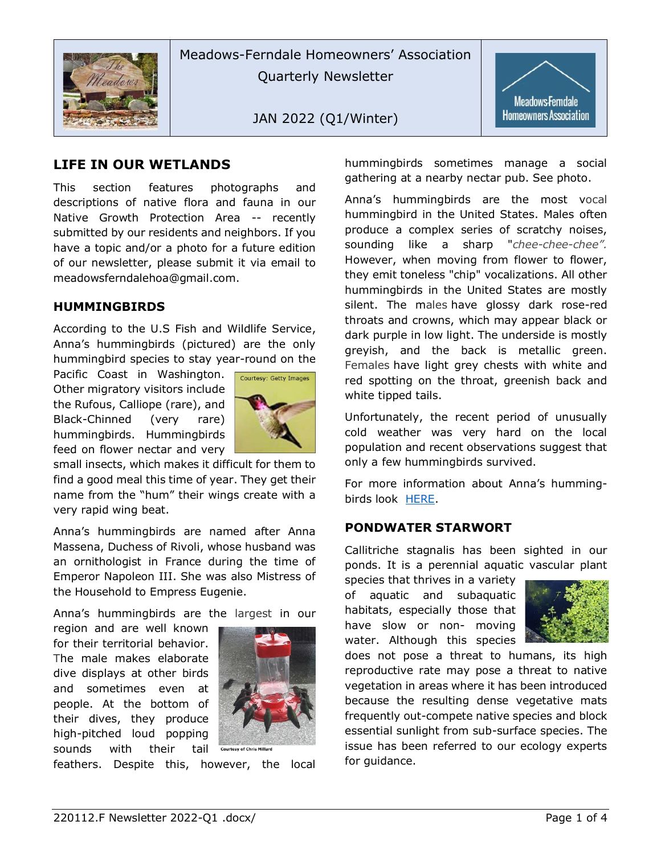

Meadows-Ferndale Homeowners' Association Quarterly Newsletter

JAN 2022 (Q1/Winter)



## **LIFE IN OUR WETLANDS**

This section features photographs and descriptions of native flora and fauna in our Native Growth Protection Area -- recently submitted by our residents and neighbors. If you have a topic and/or a photo for a future edition of our newsletter, please submit it via email to meadowsferndalehoa@gmail.com.

#### **HUMMINGBIRDS**

According to the [U.S Fish and Wildlife Service,](https://www.fws.gov/refuge/willapa/wildlife_and_habitat/annas_hummingbird.html) Anna's hummingbirds (pictured) are the only hummingbird species to stay year-round on the

Pacific Coast in Washington. Other migratory visitors include the Rufous, Calliope (rare), and Black-Chinned (very rare) hummingbirds. Hummingbirds feed on flower nectar and very



small insects, which makes it difficult for them to find a good meal this time of year. They get their name from the "hum" their wings create with a very rapid wing beat.

Anna's hummingbirds are named after Anna Massena, Duchess of Rivoli, whose husband was an ornithologist in France during the time of Emperor Napoleon III. She was also Mistress of the Household to Empress Eugenie.

Anna's hummingbirds are the largest in our

region and are well known for their territorial behavior. The male makes elaborate dive displays at other birds and sometimes even at people. At the bottom of their dives, they produce high-pitched loud popping sounds with their tail



feathers. Despite this, however, the local

hummingbirds sometimes manage a social gathering at a nearby nectar pub. See photo.

Anna's hummingbirds are the most vocal hummingbird in the United States. Males often produce a complex series of scratchy noises, sounding like a sharp "*chee-chee-chee".* However, when moving from flower to flower, they emit toneless "chip" vocalizations. All other hummingbirds in the United States are mostly silent. The males have glossy dark rose-red throats and crowns, which may appear black or dark purple in low light. The underside is mostly greyish, and the back is metallic green. Females have light grey chests with white and red spotting on the throat, greenish back and white tipped tails.

Unfortunately, the recent period of unusually cold weather was very hard on the local population and recent observations suggest that only a few hummingbirds survived.

For more information about Anna's hummingbirds look [HERE.](https://www.nps.gov/articles/anna-s-hummingbird.htm)

#### **PONDWATER STARWORT**

Callitriche stagnalis has been sighted in our ponds. It is a perennial aquatic vascular plant

species that thrives in a variety of aquatic and subaquatic habitats, especially those that have slow or non- moving water. Although this species



does not pose a threat to humans, its high reproductive rate may pose a threat to native vegetation in areas where it has been introduced because the resulting dense vegetative mats frequently out-compete native species and block essential sunlight from sub-surface species. The issue has been referred to our ecology experts for guidance.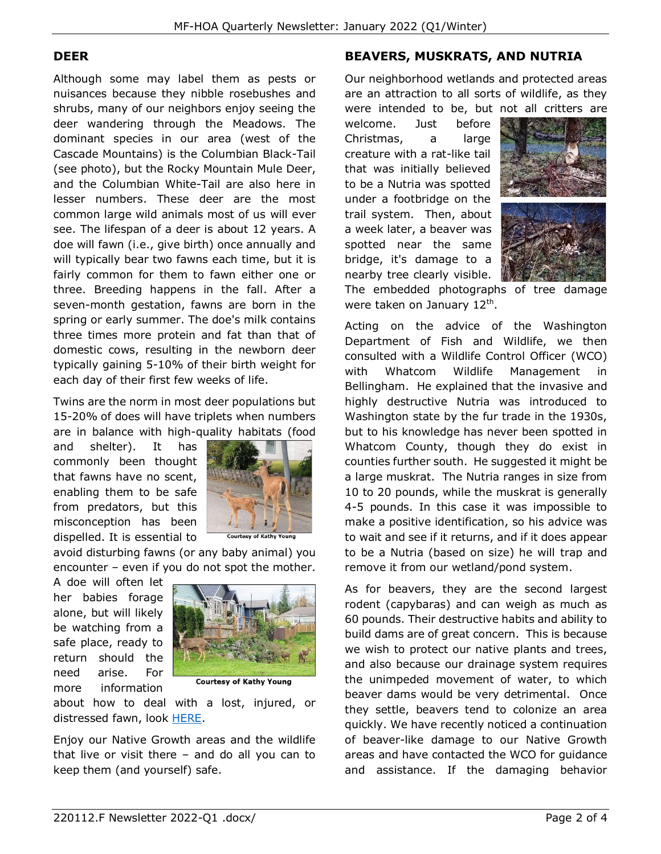## **DEER**

Although some may label them as pests or nuisances because they nibble rosebushes and shrubs, many of our neighbors enjoy seeing the deer wandering through the Meadows. The dominant species in our area (west of the Cascade Mountains) is the Columbian Black-Tail (see photo), but the Rocky Mountain Mule Deer, and the Columbian White-Tail are also here in lesser numbers. These deer are the most common large wild animals most of us will ever see. The lifespan of a deer is about 12 years. A doe will fawn (i.e., give birth) once annually and will typically bear two fawns each time, but it is fairly common for them to fawn either one or three. Breeding happens in the fall. After a seven-month gestation, fawns are born in the spring or early summer. The doe's milk contains three times more protein and fat than that of domestic cows, resulting in the newborn deer typically gaining 5-10% of their birth weight for each day of their first few weeks of life.

Twins are the norm in most deer populations but 15-20% of does will have triplets when numbers are in balance with high-quality habitats (food

and shelter). It has commonly been thought that fawns have no scent, enabling them to be safe from predators, but this misconception has been dispelled. It is essential to



avoid disturbing fawns (or any baby animal) you encounter – even if you do not spot the mother.

A doe will often let her babies forage alone, but will likely be watching from a safe place, ready to return should the need arise. For more information



**Courtesy of Kathy Young** 

about how to deal with a lost, injured, or distressed fawn, look [HERE.](https://redcreekwildlifecenter.com/fawns-rescue-5-signs-that-a-fawn-is-in-trouble/)

Enjoy our Native Growth areas and the wildlife that live or visit there – and do all you can to keep them (and yourself) safe.

# **BEAVERS, MUSKRATS, AND NUTRIA**

Our neighborhood wetlands and protected areas are an attraction to all sorts of wildlife, as they were intended to be, but not all critters are

welcome. Just before Christmas, a large creature with a rat-like tail that was initially believed to be a Nutria was spotted under a footbridge on the trail system. Then, about a week later, a beaver was spotted near the same bridge, it's damage to a nearby tree clearly visible.





The embedded photographs of tree damage were taken on January 12<sup>th</sup>.

Acting on the advice of the Washington Department of Fish and Wildlife, we then consulted with a Wildlife Control Officer (WCO) with Whatcom Wildlife Management in Bellingham. He explained that the invasive and highly destructive Nutria was introduced to Washington state by the fur trade in the 1930s, but to his knowledge has never been spotted in Whatcom County, though they do exist in counties further south. He suggested it might be a large muskrat. The Nutria ranges in size from 10 to 20 pounds, while the muskrat is generally 4-5 pounds. In this case it was impossible to make a positive identification, so his advice was to wait and see if it returns, and if it does appear to be a Nutria (based on size) he will trap and remove it from our wetland/pond system.

As for beavers, they are the second largest rodent (capybaras) and can weigh as much as 60 pounds. Their destructive habits and ability to build dams are of great concern. This is because we wish to protect our native plants and trees, and also because our drainage system requires the unimpeded movement of water, to which beaver dams would be very detrimental. Once they settle, beavers tend to colonize an area quickly. We have recently noticed a continuation of beaver-like damage to our Native Growth areas and have contacted the WCO for guidance and assistance. If the damaging behavior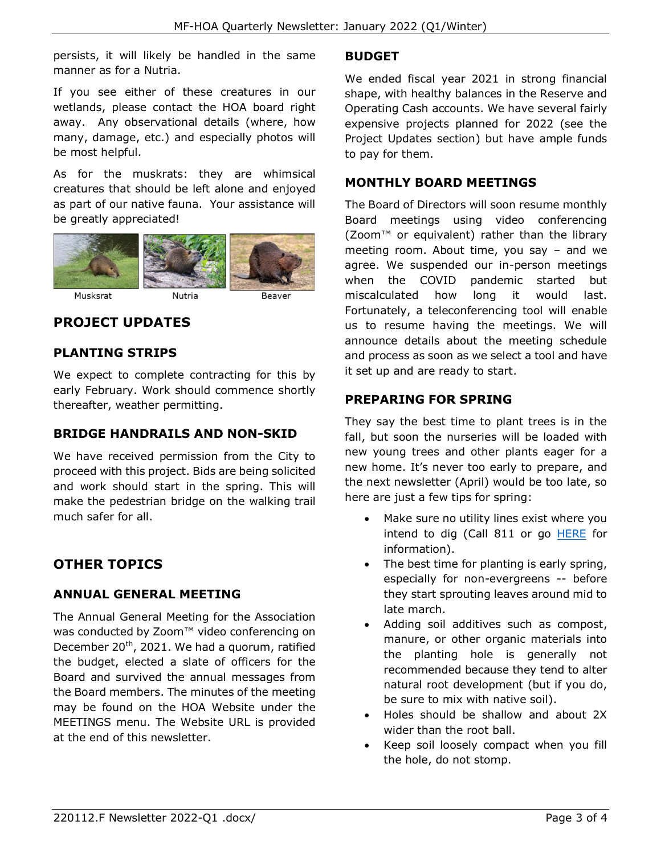persists, it will likely be handled in the same manner as for a Nutria.

If you see either of these creatures in our wetlands, please contact the HOA board right away. Any observational details (where, how many, damage, etc.) and especially photos will be most helpful.

As for the muskrats: they are whimsical creatures that should be left alone and enjoyed as part of our native fauna. Your assistance will be greatly appreciated!

![](_page_2_Picture_4.jpeg)

# **PROJECT UPDATES**

#### **PLANTING STRIPS**

We expect to complete contracting for this by early February. Work should commence shortly thereafter, weather permitting.

### **BRIDGE HANDRAILS AND NON-SKID**

We have received permission from the City to proceed with this project. Bids are being solicited and work should start in the spring. This will make the pedestrian bridge on the walking trail much safer for all.

# **OTHER TOPICS**

### **ANNUAL GENERAL MEETING**

The Annual General Meeting for the Association was conducted by Zoom™ video conferencing on December  $20<sup>th</sup>$ , 2021. We had a quorum, ratified the budget, elected a slate of officers for the Board and survived the annual messages from the Board members. The minutes of the meeting may be found on the HOA Website under the MEETINGS menu. The Website URL is provided at the end of this newsletter.

#### **BUDGET**

We ended fiscal year 2021 in strong financial shape, with healthy balances in the Reserve and Operating Cash accounts. We have several fairly expensive projects planned for 2022 (see the Project Updates section) but have ample funds to pay for them.

### **MONTHLY BOARD MEETINGS**

The Board of Directors will soon resume monthly Board meetings using video conferencing (Zoom™ or equivalent) rather than the library meeting room. About time, you say – and we agree. We suspended our in-person meetings when the COVID pandemic started but miscalculated how long it would last. Fortunately, a teleconferencing tool will enable us to resume having the meetings. We will announce details about the meeting schedule and process as soon as we select a tool and have it set up and are ready to start.

#### **PREPARING FOR SPRING**

They say the best time to plant trees is in the fall, but soon the nurseries will be loaded with new young trees and other plants eager for a new home. It's never too early to prepare, and the next newsletter (April) would be too late, so here are just a few tips for spring:

- Make sure no utility lines exist where you intend to dig (Call 811 or go [HERE](https://wa.itic.occinc.com/) for information).
- The best time for planting is early spring, especially for non-evergreens -- before they start sprouting leaves around mid to late march.
- Adding soil additives such as compost, manure, or other organic materials into the planting hole is generally not recommended because they tend to alter natural root development (but if you do, be sure to mix with native soil).
- Holes should be shallow and about 2X wider than the root ball.
- Keep soil loosely compact when you fill the hole, do not stomp.